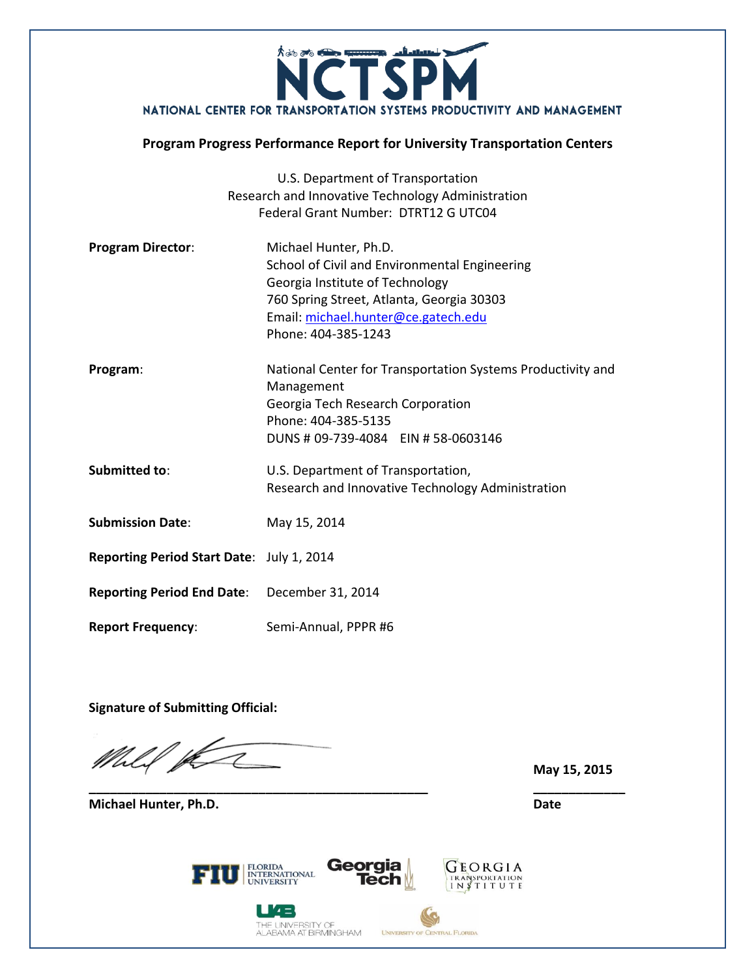

#### **Program Progress Performance Report for University Transportation Centers**

|                                           | U.S. Department of Transportation                           |  |
|-------------------------------------------|-------------------------------------------------------------|--|
|                                           | Research and Innovative Technology Administration           |  |
|                                           | Federal Grant Number: DTRT12 G UTC04                        |  |
| <b>Program Director:</b>                  | Michael Hunter, Ph.D.                                       |  |
|                                           | School of Civil and Environmental Engineering               |  |
|                                           | Georgia Institute of Technology                             |  |
|                                           | 760 Spring Street, Atlanta, Georgia 30303                   |  |
|                                           | Email: michael.hunter@ce.gatech.edu                         |  |
|                                           | Phone: 404-385-1243                                         |  |
| Program:                                  | National Center for Transportation Systems Productivity and |  |
|                                           | Management                                                  |  |
|                                           | Georgia Tech Research Corporation                           |  |
|                                           | Phone: 404-385-5135                                         |  |
|                                           | DUNS # 09-739-4084 EIN # 58-0603146                         |  |
| <b>Submitted to:</b>                      | U.S. Department of Transportation,                          |  |
|                                           | Research and Innovative Technology Administration           |  |
| <b>Submission Date:</b>                   | May 15, 2014                                                |  |
| Reporting Period Start Date: July 1, 2014 |                                                             |  |
| <b>Reporting Period End Date:</b>         | December 31, 2014                                           |  |
| <b>Report Frequency:</b>                  | Semi-Annual, PPPR #6                                        |  |

**Signature of Submitting Official:**

Mhlif pe

**\_\_\_\_\_\_\_\_\_\_\_\_\_\_\_\_\_\_\_\_\_\_\_\_\_\_\_\_\_\_\_\_\_\_\_\_\_\_\_\_\_\_\_\_\_\_\_\_ \_\_\_\_\_\_\_\_\_\_\_\_\_**

**Michael Hunter, Ph.D. Date**

**May 15, 2015**

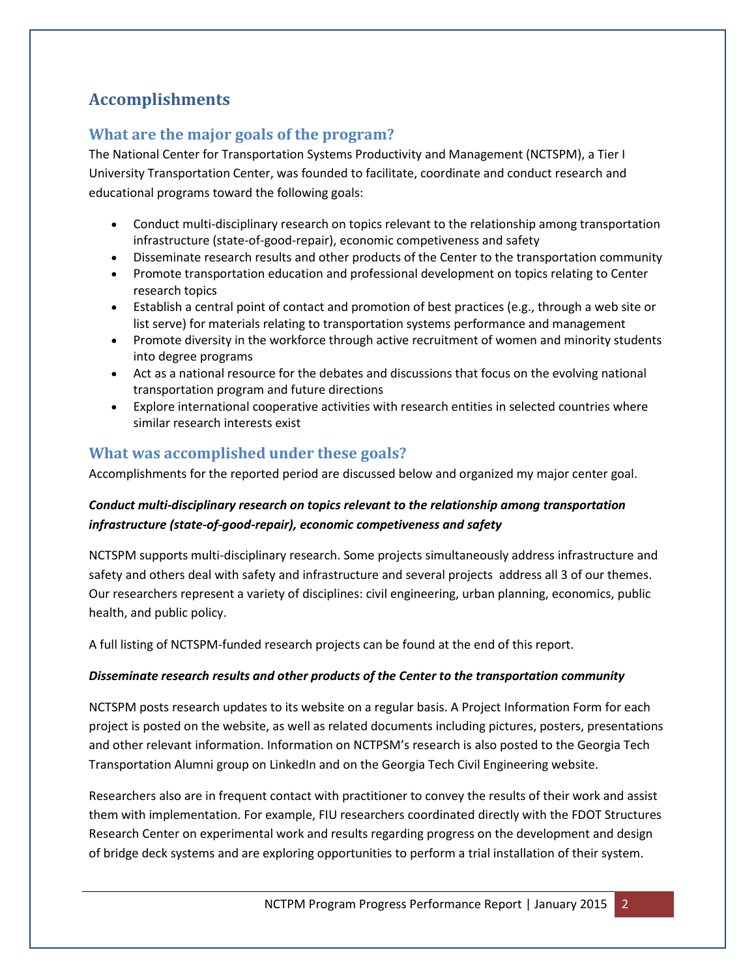# **Accomplishments**

# **What are the major goals of the program?**

The National Center for Transportation Systems Productivity and Management (NCTSPM), a Tier I University Transportation Center, was founded to facilitate, coordinate and conduct research and educational programs toward the following goals:

- Conduct multi-disciplinary research on topics relevant to the relationship among transportation infrastructure (state-of-good-repair), economic competiveness and safety
- Disseminate research results and other products of the Center to the transportation community
- Promote transportation education and professional development on topics relating to Center research topics
- Establish a central point of contact and promotion of best practices (e.g., through a web site or list serve) for materials relating to transportation systems performance and management
- Promote diversity in the workforce through active recruitment of women and minority students into degree programs
- Act as a national resource for the debates and discussions that focus on the evolving national transportation program and future directions
- Explore international cooperative activities with research entities in selected countries where similar research interests exist

# **What was accomplished under these goals?**

Accomplishments for the reported period are discussed below and organized my major center goal.

## *Conduct multi-disciplinary research on topics relevant to the relationship among transportation infrastructure (state-of-good-repair), economic competiveness and safety*

NCTSPM supports multi-disciplinary research. Some projects simultaneously address infrastructure and safety and others deal with safety and infrastructure and several projects address all 3 of our themes. Our researchers represent a variety of disciplines: civil engineering, urban planning, economics, public health, and public policy.

A full listing of NCTSPM-funded research projects can be found at the end of this report.

### *Disseminate research results and other products of the Center to the transportation community*

NCTSPM posts research updates to its website on a regular basis. A Project Information Form for each project is posted on the website, as well as related documents including pictures, posters, presentations and other relevant information. Information on NCTPSM's research is also posted to the Georgia Tech Transportation Alumni group on LinkedIn and on the Georgia Tech Civil Engineering website.

Researchers also are in frequent contact with practitioner to convey the results of their work and assist them with implementation. For example, FIU researchers coordinated directly with the FDOT Structures Research Center on experimental work and results regarding progress on the development and design of bridge deck systems and are exploring opportunities to perform a trial installation of their system.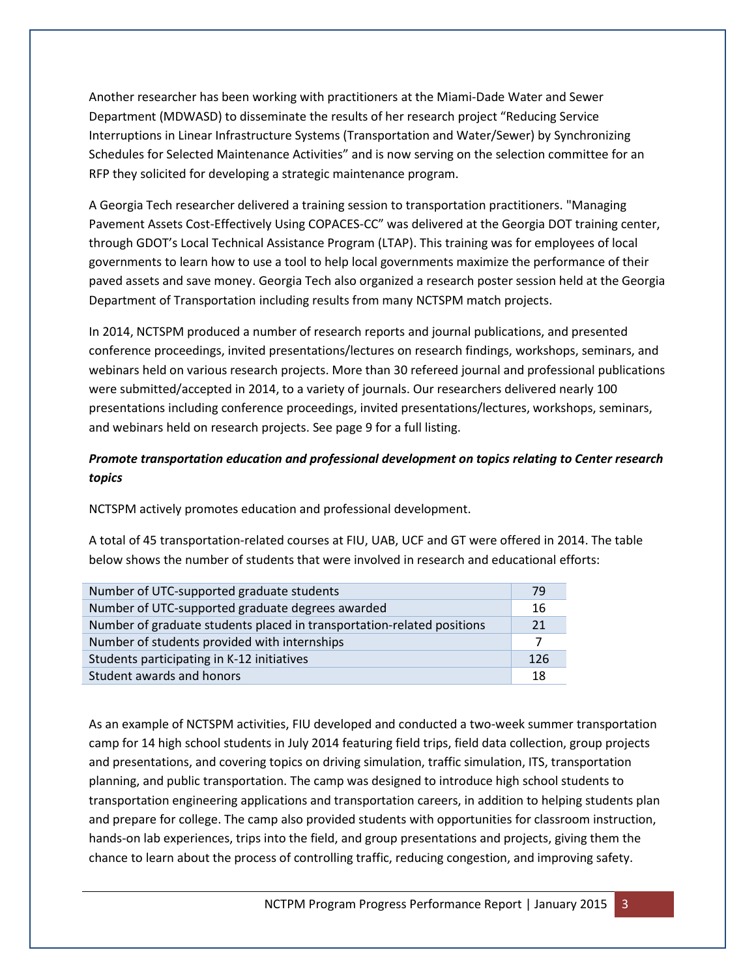Another researcher has been working with practitioners at the Miami-Dade Water and Sewer Department (MDWASD) to disseminate the results of her research project "Reducing Service Interruptions in Linear Infrastructure Systems (Transportation and Water/Sewer) by Synchronizing Schedules for Selected Maintenance Activities" and is now serving on the selection committee for an RFP they solicited for developing a strategic maintenance program.

A Georgia Tech researcher delivered a training session to transportation practitioners. "Managing Pavement Assets Cost-Effectively Using COPACES-CC" was delivered at the Georgia DOT training center, through GDOT's Local Technical Assistance Program (LTAP). This training was for employees of local governments to learn how to use a tool to help local governments maximize the performance of their paved assets and save money. Georgia Tech also organized a research poster session held at the Georgia Department of Transportation including results from many NCTSPM match projects.

In 2014, NCTSPM produced a number of research reports and journal publications, and presented conference proceedings, invited presentations/lectures on research findings, workshops, seminars, and webinars held on various research projects. More than 30 refereed journal and professional publications were submitted/accepted in 2014, to a variety of journals. Our researchers delivered nearly 100 presentations including conference proceedings, invited presentations/lectures, workshops, seminars, and webinars held on research projects. See page 9 for a full listing.

### *Promote transportation education and professional development on topics relating to Center research topics*

NCTSPM actively promotes education and professional development.

A total of 45 transportation-related courses at FIU, UAB, UCF and GT were offered in 2014. The table below shows the number of students that were involved in research and educational efforts:

| Number of UTC-supported graduate students                              | 79  |
|------------------------------------------------------------------------|-----|
| Number of UTC-supported graduate degrees awarded                       | 16  |
| Number of graduate students placed in transportation-related positions | 21  |
| Number of students provided with internships                           |     |
| Students participating in K-12 initiatives                             | 126 |
| Student awards and honors                                              | 18  |

As an example of NCTSPM activities, FIU developed and conducted a two-week summer transportation camp for 14 high school students in July 2014 featuring field trips, field data collection, group projects and presentations, and covering topics on driving simulation, traffic simulation, ITS, transportation planning, and public transportation. The camp was designed to introduce high school students to transportation engineering applications and transportation careers, in addition to helping students plan and prepare for college. The camp also provided students with opportunities for classroom instruction, hands-on lab experiences, trips into the field, and group presentations and projects, giving them the chance to learn about the process of controlling traffic, reducing congestion, and improving safety.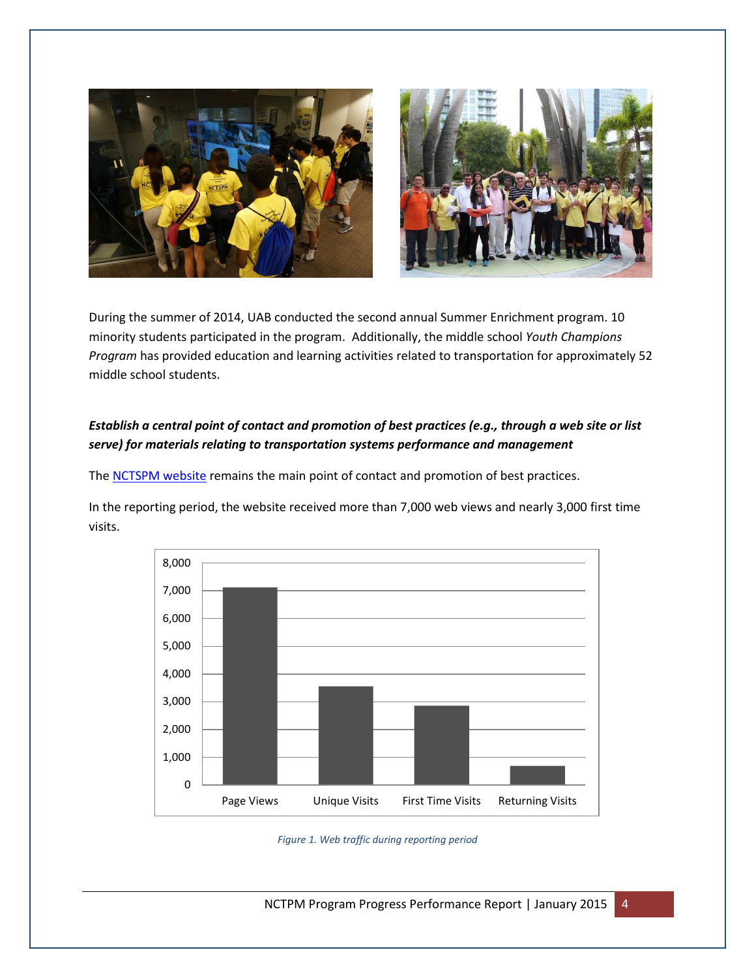



During the summer of 2014, UAB conducted the second annual Summer Enrichment program. 10 minority students participated in the program. Additionally, the middle school *Youth Champions Program* has provided education and learning activities related to transportation for approximately 52 middle school students.

### *Establish a central point of contact and promotion of best practices (e.g., through a web site or list serve) for materials relating to transportation systems performance and management*

The [NCTSPM website](http://nctspm.gatech.edu/) remains the main point of contact and promotion of best practices.

In the reporting period, the website received more than 7,000 web views and nearly 3,000 first time visits.



*Figure 1. Web traffic during reporting period*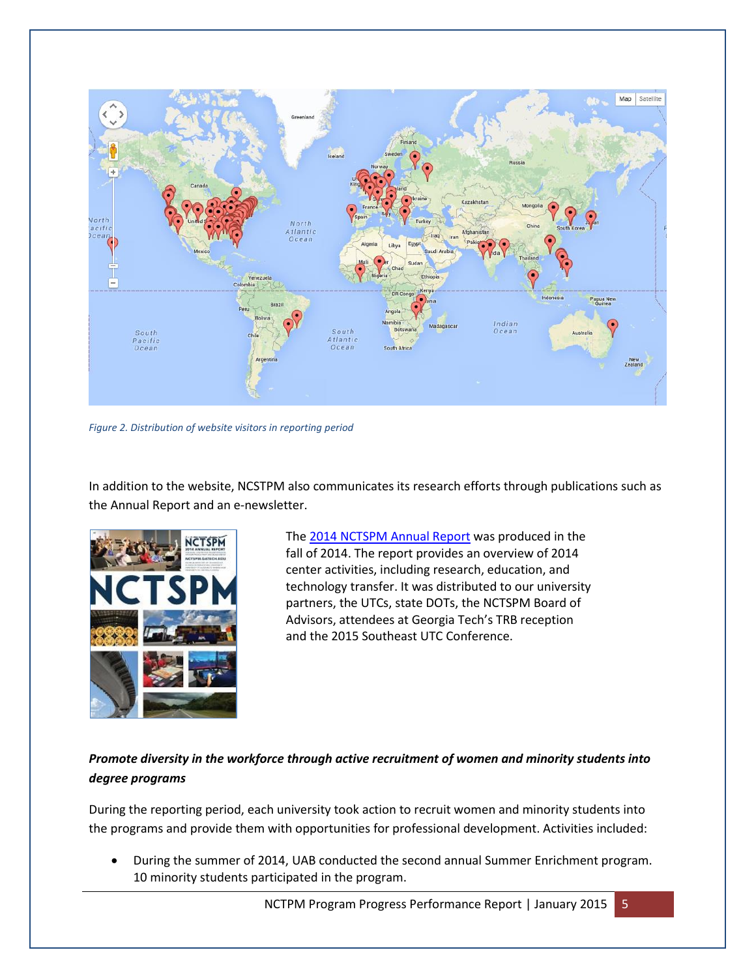

*Figure 2. Distribution of website visitors in reporting period*

In addition to the website, NCSTPM also communicates its research efforts through publications such as the Annual Report and an e-newsletter.



Th[e 2014 NCTSPM Annual Report](http://nctspm.gatech.edu/content/2014-annual-report) was produced in the fall of 2014. The report provides an overview of 2014 center activities, including research, education, and technology transfer. It was distributed to our university partners, the UTCs, state DOTs, the NCTSPM Board of Advisors, attendees at Georgia Tech's TRB reception and the 2015 Southeast UTC Conference.

## *Promote diversity in the workforce through active recruitment of women and minority students into degree programs*

During the reporting period, each university took action to recruit women and minority students into the programs and provide them with opportunities for professional development. Activities included:

 During the summer of 2014, UAB conducted the second annual Summer Enrichment program. 10 minority students participated in the program.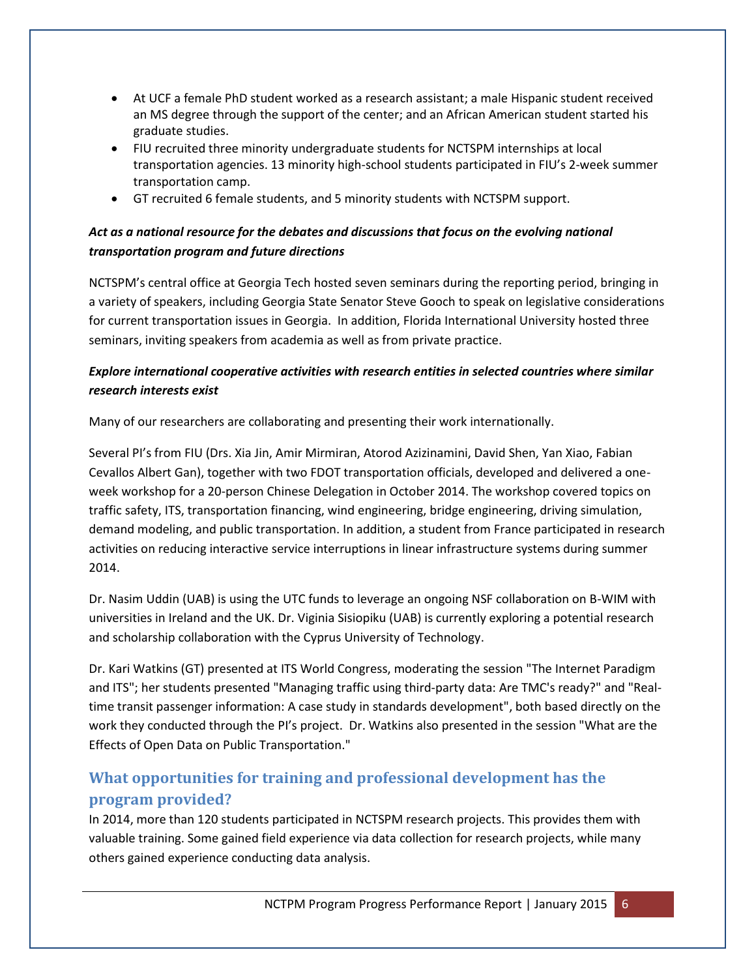- At UCF a female PhD student worked as a research assistant; a male Hispanic student received an MS degree through the support of the center; and an African American student started his graduate studies.
- FIU recruited three minority undergraduate students for NCTSPM internships at local transportation agencies. 13 minority high-school students participated in FIU's 2-week summer transportation camp.
- GT recruited 6 female students, and 5 minority students with NCTSPM support.

## *Act as a national resource for the debates and discussions that focus on the evolving national transportation program and future directions*

NCTSPM's central office at Georgia Tech hosted seven seminars during the reporting period, bringing in a variety of speakers, including Georgia State Senator Steve Gooch to speak on legislative considerations for current transportation issues in Georgia. In addition, Florida International University hosted three seminars, inviting speakers from academia as well as from private practice.

### *Explore international cooperative activities with research entities in selected countries where similar research interests exist*

Many of our researchers are collaborating and presenting their work internationally.

Several PI's from FIU (Drs. Xia Jin, Amir Mirmiran, Atorod Azizinamini, David Shen, Yan Xiao, Fabian Cevallos Albert Gan), together with two FDOT transportation officials, developed and delivered a oneweek workshop for a 20-person Chinese Delegation in October 2014. The workshop covered topics on traffic safety, ITS, transportation financing, wind engineering, bridge engineering, driving simulation, demand modeling, and public transportation. In addition, a student from France participated in research activities on reducing interactive service interruptions in linear infrastructure systems during summer 2014.

Dr. Nasim Uddin (UAB) is using the UTC funds to leverage an ongoing NSF collaboration on B-WIM with universities in Ireland and the UK. Dr. Viginia Sisiopiku (UAB) is currently exploring a potential research and scholarship collaboration with the Cyprus University of Technology.

Dr. Kari Watkins (GT) presented at ITS World Congress, moderating the session "The Internet Paradigm and ITS"; her students presented "Managing traffic using third-party data: Are TMC's ready?" and "Realtime transit passenger information: A case study in standards development", both based directly on the work they conducted through the PI's project. Dr. Watkins also presented in the session "What are the Effects of Open Data on Public Transportation."

# **What opportunities for training and professional development has the program provided?**

In 2014, more than 120 students participated in NCTSPM research projects. This provides them with valuable training. Some gained field experience via data collection for research projects, while many others gained experience conducting data analysis.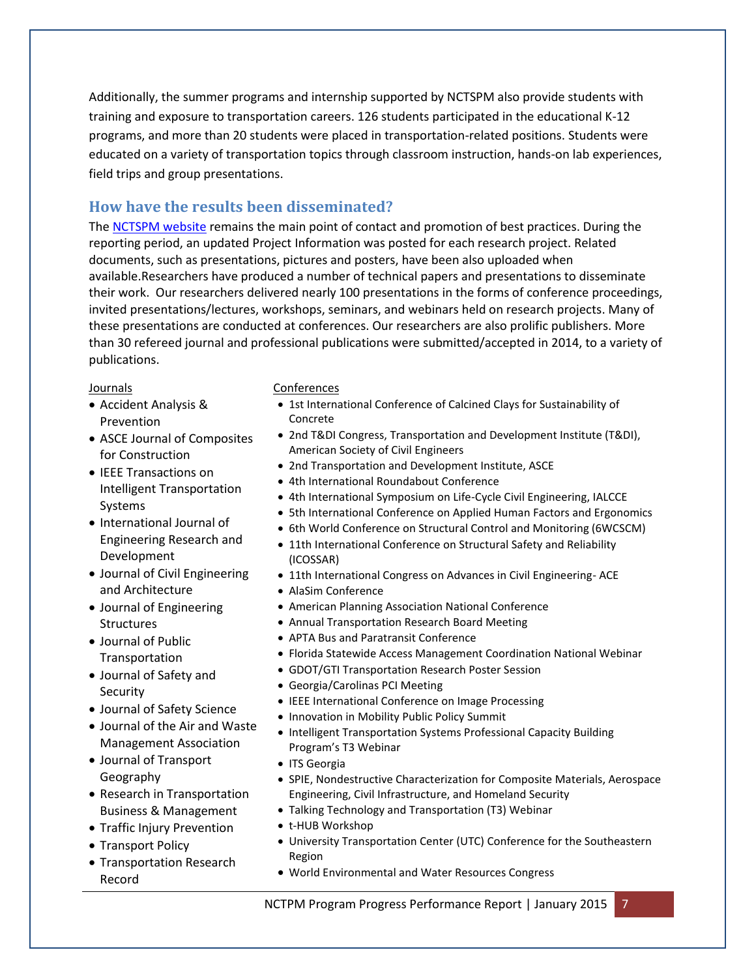Additionally, the summer programs and internship supported by NCTSPM also provide students with training and exposure to transportation careers. 126 students participated in the educational K-12 programs, and more than 20 students were placed in transportation-related positions. Students were educated on a variety of transportation topics through classroom instruction, hands-on lab experiences, field trips and group presentations.

## **How have the results been disseminated?**

The [NCTSPM website](http://nctspm.gatech.edu/) remains the main point of contact and promotion of best practices. During the reporting period, an updated Project Information was posted for each research project. Related documents, such as presentations, pictures and posters, have been also uploaded when available.Researchers have produced a number of technical papers and presentations to disseminate their work. Our researchers delivered nearly 100 presentations in the forms of conference proceedings, invited presentations/lectures, workshops, seminars, and webinars held on research projects. Many of these presentations are conducted at conferences. Our researchers are also prolific publishers. More than 30 refereed journal and professional publications were submitted/accepted in 2014, to a variety of publications.

#### Journals

- Accident Analysis & Prevention
- ASCE Journal of Composites for Construction
- IEEE Transactions on Intelligent Transportation Systems
- International Journal of Engineering Research and Development
- Journal of Civil Engineering and Architecture
- Journal of Engineering **Structures**
- Journal of Public Transportation
- Journal of Safety and **Security**
- Journal of Safety Science
- Journal of the Air and Waste Management Association
- Journal of Transport Geography
- Research in Transportation Business & Management
- Traffic Injury Prevention
- Transport Policy
- Transportation Research Record

#### Conferences

- 1st International Conference of Calcined Clays for Sustainability of Concrete
- 2nd T&DI Congress, Transportation and Development Institute (T&DI), American Society of Civil Engineers
- 2nd Transportation and Development Institute, ASCE
- 4th International Roundabout Conference
- 4th International Symposium on Life-Cycle Civil Engineering, IALCCE
- 5th International Conference on Applied Human Factors and Ergonomics
- 6th World Conference on Structural Control and Monitoring (6WCSCM)
- 11th International Conference on Structural Safety and Reliability (ICOSSAR)
- 11th International Congress on Advances in Civil Engineering- ACE
- AlaSim Conference
- American Planning Association National Conference
- Annual Transportation Research Board Meeting
- APTA Bus and Paratransit Conference
- Florida Statewide Access Management Coordination National Webinar
- GDOT/GTI Transportation Research Poster Session
- Georgia/Carolinas PCI Meeting
- IEEE International Conference on Image Processing
- Innovation in Mobility Public Policy Summit
- Intelligent Transportation Systems Professional Capacity Building Program's T3 Webinar
- ITS Georgia
- SPIE, Nondestructive Characterization for Composite Materials, Aerospace Engineering, Civil Infrastructure, and Homeland Security
- Talking Technology and Transportation (T3) Webinar
- t-HUB Workshop
- University Transportation Center (UTC) Conference for the Southeastern Region
- World Environmental and Water Resources Congress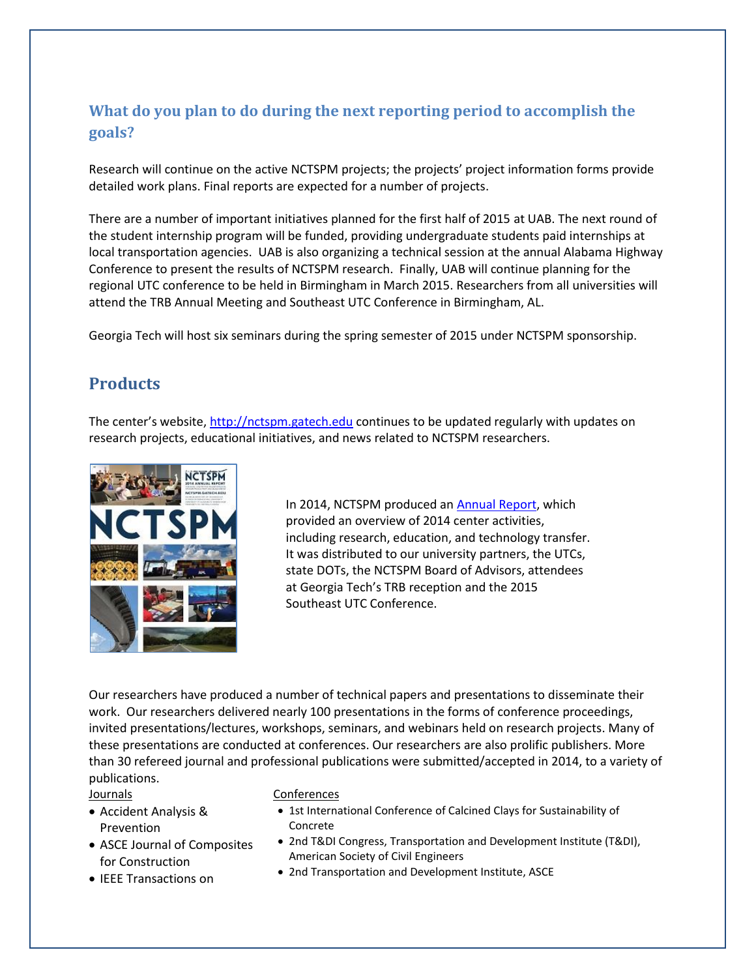# **What do you plan to do during the next reporting period to accomplish the goals?**

Research will continue on the active NCTSPM projects; the projects' project information forms provide detailed work plans. Final reports are expected for a number of projects.

There are a number of important initiatives planned for the first half of 2015 at UAB. The next round of the student internship program will be funded, providing undergraduate students paid internships at local transportation agencies. UAB is also organizing a technical session at the annual Alabama Highway Conference to present the results of NCTSPM research. Finally, UAB will continue planning for the regional UTC conference to be held in Birmingham in March 2015. Researchers from all universities will attend the TRB Annual Meeting and Southeast UTC Conference in Birmingham, AL.

Georgia Tech will host six seminars during the spring semester of 2015 under NCTSPM sponsorship.

# **Products**

The center's website, [http://nctspm.gatech.edu](http://nctspm.gatech.edu/) continues to be updated regularly with updates on research projects, educational initiatives, and news related to NCTSPM researchers.



In 2014, NCTSPM produced an [Annual Report,](http://nctspm.gatech.edu/content/2014-annual-report) which provided an overview of 2014 center activities, including research, education, and technology transfer. It was distributed to our university partners, the UTCs, state DOTs, the NCTSPM Board of Advisors, attendees at Georgia Tech's TRB reception and the 2015 Southeast UTC Conference.

Our researchers have produced a number of technical papers and presentations to disseminate their work. Our researchers delivered nearly 100 presentations in the forms of conference proceedings, invited presentations/lectures, workshops, seminars, and webinars held on research projects. Many of these presentations are conducted at conferences. Our researchers are also prolific publishers. More than 30 refereed journal and professional publications were submitted/accepted in 2014, to a variety of publications.

#### Journals

- Accident Analysis & Prevention
- ASCE Journal of Composites for Construction
- IEEE Transactions on

#### Conferences

- 1st International Conference of Calcined Clays for Sustainability of Concrete
- 2nd T&DI Congress, Transportation and Development Institute (T&DI), American Society of Civil Engineers
- 2nd Transportation and Development Institute, ASCE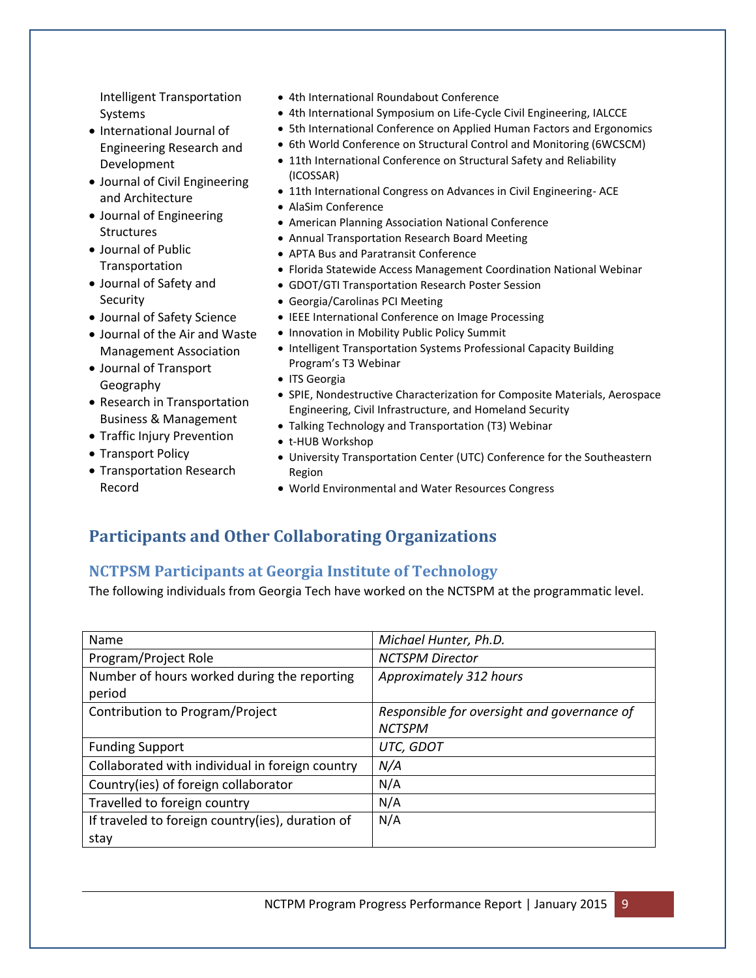Intelligent Transportation Systems

- International Journal of Engineering Research and Development
- Journal of Civil Engineering and Architecture
- Journal of Engineering **Structures**
- Journal of Public Transportation
- Journal of Safety and **Security**
- Journal of Safety Science
- Journal of the Air and Waste Management Association
- Journal of Transport Geography
- Research in Transportation Business & Management
- Traffic Injury Prevention
- Transport Policy
- Transportation Research Record
- 4th International Roundabout Conference
- 4th International Symposium on Life-Cycle Civil Engineering, IALCCE
- 5th International Conference on Applied Human Factors and Ergonomics
- 6th World Conference on Structural Control and Monitoring (6WCSCM)
- 11th International Conference on Structural Safety and Reliability (ICOSSAR)
- 11th International Congress on Advances in Civil Engineering- ACE
- AlaSim Conference
- American Planning Association National Conference
- Annual Transportation Research Board Meeting
- APTA Bus and Paratransit Conference
- Florida Statewide Access Management Coordination National Webinar
- GDOT/GTI Transportation Research Poster Session
- Georgia/Carolinas PCI Meeting
- IEEE International Conference on Image Processing
- Innovation in Mobility Public Policy Summit
- Intelligent Transportation Systems Professional Capacity Building Program's T3 Webinar
- ITS Georgia
- SPIE, Nondestructive Characterization for Composite Materials, Aerospace Engineering, Civil Infrastructure, and Homeland Security
- Talking Technology and Transportation (T3) Webinar
- t-HUB Workshop
- University Transportation Center (UTC) Conference for the Southeastern Region
- World Environmental and Water Resources Congress

# **Participants and Other Collaborating Organizations**

## **NCTPSM Participants at Georgia Institute of Technology**

The following individuals from Georgia Tech have worked on the NCTSPM at the programmatic level.

| Name                                             | Michael Hunter, Ph.D.                       |  |
|--------------------------------------------------|---------------------------------------------|--|
| Program/Project Role                             | <b>NCTSPM Director</b>                      |  |
| Number of hours worked during the reporting      | Approximately 312 hours                     |  |
| period                                           |                                             |  |
| Contribution to Program/Project                  | Responsible for oversight and governance of |  |
|                                                  | <b>NCTSPM</b>                               |  |
| <b>Funding Support</b>                           | UTC, GDOT                                   |  |
| Collaborated with individual in foreign country  | N/A                                         |  |
| Country(ies) of foreign collaborator             | N/A                                         |  |
| Travelled to foreign country                     | N/A                                         |  |
| If traveled to foreign country(ies), duration of | N/A                                         |  |
| stay                                             |                                             |  |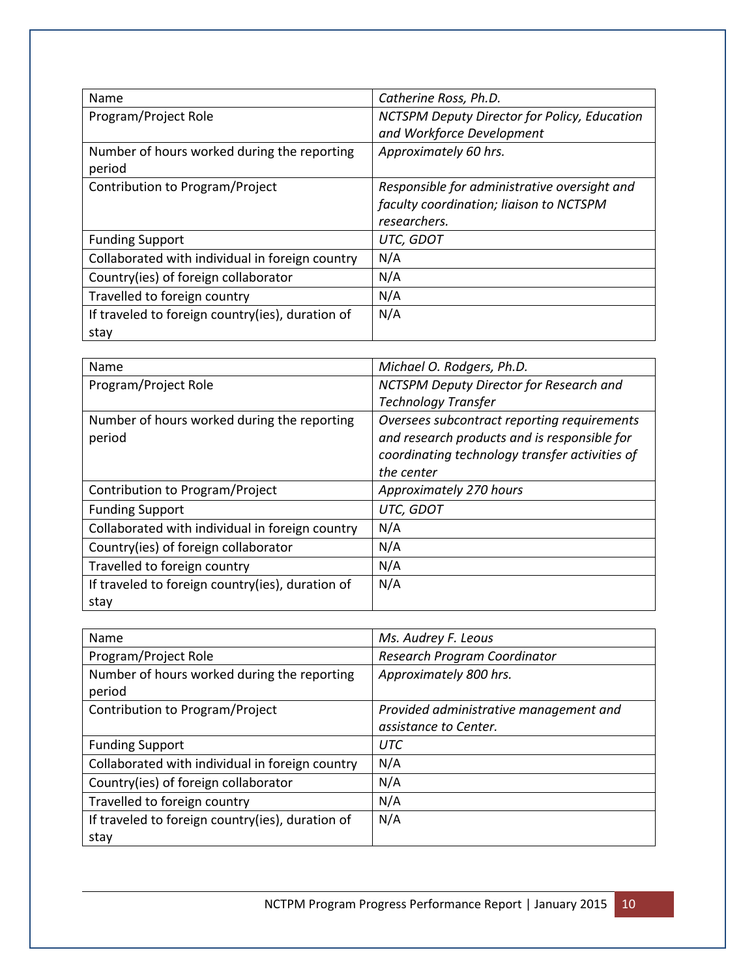| Name                                             | Catherine Ross, Ph.D.                        |
|--------------------------------------------------|----------------------------------------------|
| Program/Project Role                             | NCTSPM Deputy Director for Policy, Education |
|                                                  | and Workforce Development                    |
| Number of hours worked during the reporting      | Approximately 60 hrs.                        |
| period                                           |                                              |
| Contribution to Program/Project                  | Responsible for administrative oversight and |
|                                                  | faculty coordination; liaison to NCTSPM      |
|                                                  | researchers.                                 |
| <b>Funding Support</b>                           | UTC, GDOT                                    |
| Collaborated with individual in foreign country  | N/A                                          |
| Country(ies) of foreign collaborator             | N/A                                          |
| Travelled to foreign country                     | N/A                                          |
| If traveled to foreign country(ies), duration of | N/A                                          |
| stay                                             |                                              |

| Name                                             | Michael O. Rodgers, Ph.D.                      |  |
|--------------------------------------------------|------------------------------------------------|--|
| Program/Project Role                             | NCTSPM Deputy Director for Research and        |  |
|                                                  | <b>Technology Transfer</b>                     |  |
| Number of hours worked during the reporting      | Oversees subcontract reporting requirements    |  |
| period                                           | and research products and is responsible for   |  |
|                                                  | coordinating technology transfer activities of |  |
|                                                  | the center                                     |  |
| Contribution to Program/Project                  | Approximately 270 hours                        |  |
| <b>Funding Support</b>                           | UTC, GDOT                                      |  |
| Collaborated with individual in foreign country  | N/A                                            |  |
| Country(ies) of foreign collaborator             | N/A                                            |  |
| Travelled to foreign country                     | N/A                                            |  |
| If traveled to foreign country(ies), duration of | N/A                                            |  |
| stay                                             |                                                |  |

| Name                                             | Ms. Audrey F. Leous                    |
|--------------------------------------------------|----------------------------------------|
| Program/Project Role                             | Research Program Coordinator           |
| Number of hours worked during the reporting      | Approximately 800 hrs.                 |
| period                                           |                                        |
| Contribution to Program/Project                  | Provided administrative management and |
|                                                  | assistance to Center.                  |
| <b>Funding Support</b>                           | <b>UTC</b>                             |
| Collaborated with individual in foreign country  | N/A                                    |
| Country(ies) of foreign collaborator             | N/A                                    |
| Travelled to foreign country                     | N/A                                    |
| If traveled to foreign country(ies), duration of | N/A                                    |
| stay                                             |                                        |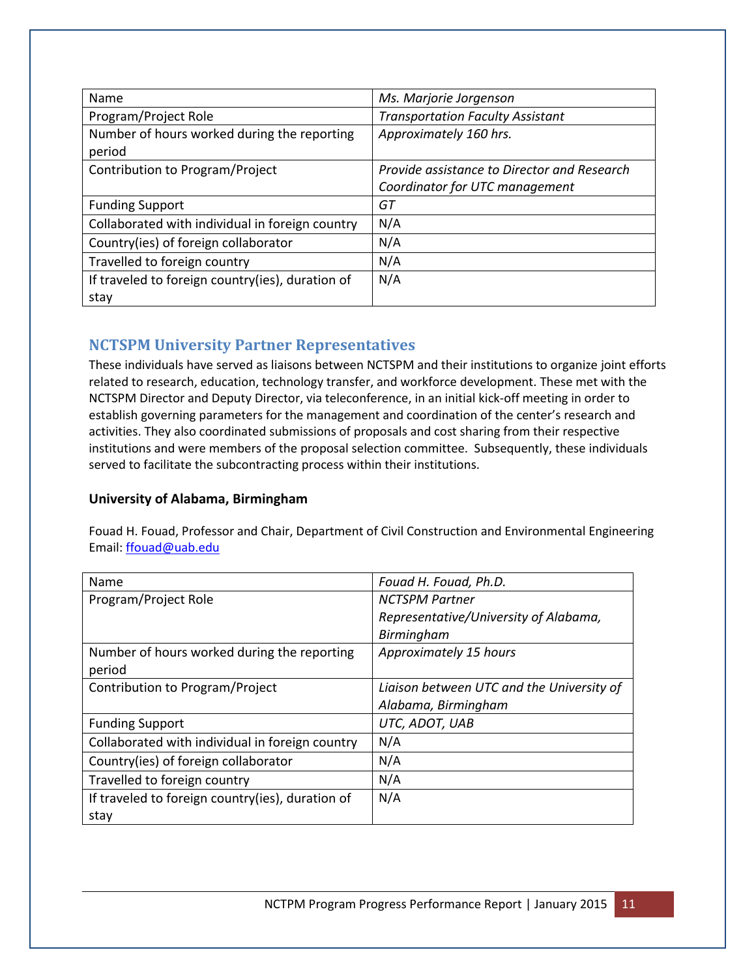| Name                                                  | Ms. Marjorie Jorgenson                      |
|-------------------------------------------------------|---------------------------------------------|
| Program/Project Role                                  | <b>Transportation Faculty Assistant</b>     |
| Number of hours worked during the reporting<br>period | Approximately 160 hrs.                      |
| Contribution to Program/Project                       | Provide assistance to Director and Research |
|                                                       | Coordinator for UTC management              |
| <b>Funding Support</b>                                | GT                                          |
| Collaborated with individual in foreign country       | N/A                                         |
| Country(ies) of foreign collaborator                  | N/A                                         |
| Travelled to foreign country                          | N/A                                         |
| If traveled to foreign country(ies), duration of      | N/A                                         |
| stay                                                  |                                             |

## **NCTSPM University Partner Representatives**

These individuals have served as liaisons between NCTSPM and their institutions to organize joint efforts related to research, education, technology transfer, and workforce development. These met with the NCTSPM Director and Deputy Director, via teleconference, in an initial kick-off meeting in order to establish governing parameters for the management and coordination of the center's research and activities. They also coordinated submissions of proposals and cost sharing from their respective institutions and were members of the proposal selection committee. Subsequently, these individuals served to facilitate the subcontracting process within their institutions.

### **University of Alabama, Birmingham**

Fouad H. Fouad, Professor and Chair, Department of Civil Construction and Environmental Engineering Email: [ffouad@uab.edu](mailto:ffouad@uab.edu)

| Name                                             | Fouad H. Fouad, Ph.D.                     |
|--------------------------------------------------|-------------------------------------------|
| Program/Project Role                             | <b>NCTSPM Partner</b>                     |
|                                                  | Representative/University of Alabama,     |
|                                                  | Birmingham                                |
| Number of hours worked during the reporting      | Approximately 15 hours                    |
| period                                           |                                           |
| Contribution to Program/Project                  | Liaison between UTC and the University of |
|                                                  | Alabama, Birmingham                       |
| <b>Funding Support</b>                           | UTC, ADOT, UAB                            |
| Collaborated with individual in foreign country  | N/A                                       |
| Country(ies) of foreign collaborator             | N/A                                       |
| Travelled to foreign country                     | N/A                                       |
| If traveled to foreign country(ies), duration of | N/A                                       |
| stav                                             |                                           |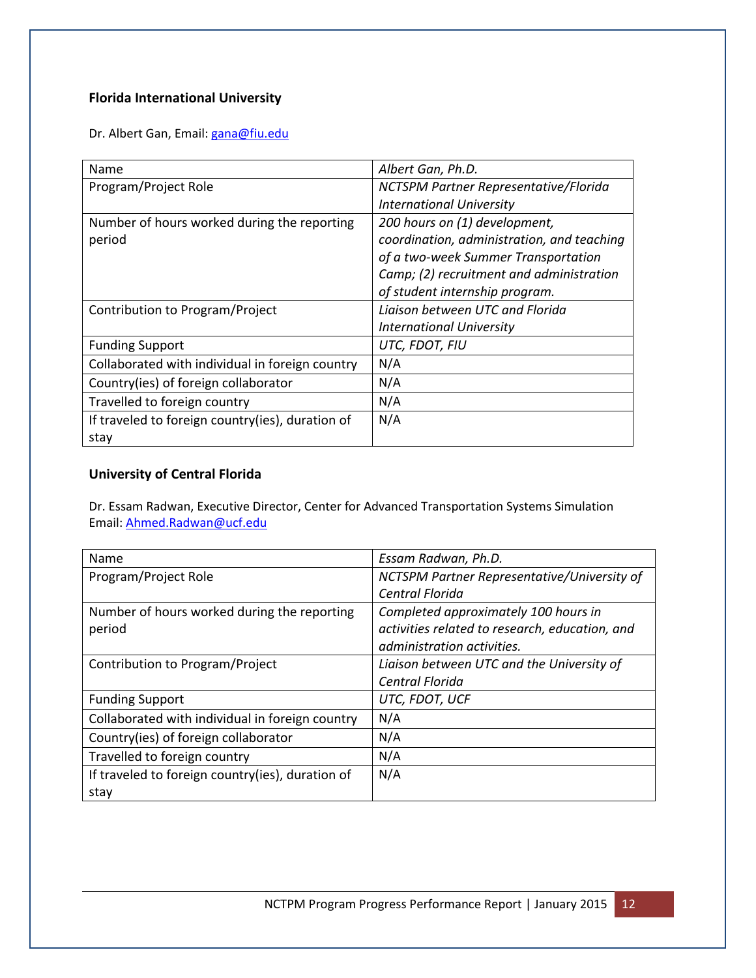## **Florida International University**

Dr. Albert Gan, Email: [gana@fiu.edu](mailto:gana@fiu.edu)

| Name                                             | Albert Gan, Ph.D.                          |  |
|--------------------------------------------------|--------------------------------------------|--|
| Program/Project Role                             | NCTSPM Partner Representative/Florida      |  |
|                                                  | <b>International University</b>            |  |
| Number of hours worked during the reporting      | 200 hours on (1) development,              |  |
| period                                           | coordination, administration, and teaching |  |
|                                                  | of a two-week Summer Transportation        |  |
|                                                  | Camp; (2) recruitment and administration   |  |
|                                                  | of student internship program.             |  |
| Contribution to Program/Project                  | Liaison between UTC and Florida            |  |
|                                                  | <b>International University</b>            |  |
| <b>Funding Support</b>                           | UTC, FDOT, FIU                             |  |
| Collaborated with individual in foreign country  | N/A                                        |  |
| Country(ies) of foreign collaborator             | N/A                                        |  |
| Travelled to foreign country                     | N/A                                        |  |
| If traveled to foreign country(ies), duration of | N/A                                        |  |
| stay                                             |                                            |  |

#### **University of Central Florida**

Dr. Essam Radwan, Executive Director, Center for Advanced Transportation Systems Simulation Email: [Ahmed.Radwan@ucf.edu](mailto:Ahmed.Radwan@ucf.edu)

| Name                                             | Essam Radwan, Ph.D.                            |
|--------------------------------------------------|------------------------------------------------|
| Program/Project Role                             | NCTSPM Partner Representative/University of    |
|                                                  | Central Florida                                |
| Number of hours worked during the reporting      | Completed approximately 100 hours in           |
| period                                           | activities related to research, education, and |
|                                                  | administration activities.                     |
| Contribution to Program/Project                  | Liaison between UTC and the University of      |
|                                                  | Central Florida                                |
| <b>Funding Support</b>                           | UTC, FDOT, UCF                                 |
| Collaborated with individual in foreign country  | N/A                                            |
| Country(ies) of foreign collaborator             | N/A                                            |
| Travelled to foreign country                     | N/A                                            |
| If traveled to foreign country(ies), duration of | N/A                                            |
| stay                                             |                                                |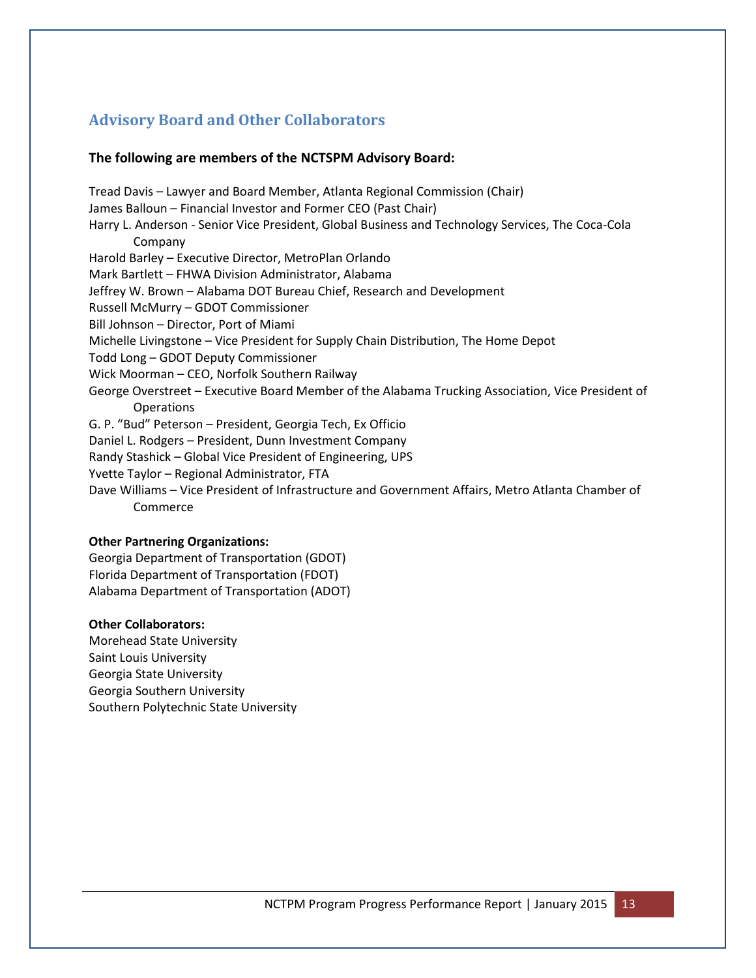# **Advisory Board and Other Collaborators**

#### **The following are members of the NCTSPM Advisory Board:**

Tread Davis – Lawyer and Board Member, Atlanta Regional Commission (Chair) James Balloun – Financial Investor and Former CEO (Past Chair) Harry L. Anderson - Senior Vice President, Global Business and Technology Services, The Coca-Cola Company Harold Barley – Executive Director, MetroPlan Orlando Mark Bartlett – FHWA Division Administrator, Alabama Jeffrey W. Brown – Alabama DOT Bureau Chief, Research and Development Russell McMurry – GDOT Commissioner Bill Johnson – Director, Port of Miami Michelle Livingstone – Vice President for Supply Chain Distribution, The Home Depot Todd Long – GDOT Deputy Commissioner Wick Moorman – CEO, Norfolk Southern Railway George Overstreet – Executive Board Member of the Alabama Trucking Association, Vice President of Operations G. P. "Bud" Peterson – President, Georgia Tech, Ex Officio Daniel L. Rodgers – President, Dunn Investment Company Randy Stashick – Global Vice President of Engineering, UPS Yvette Taylor – Regional Administrator, FTA Dave Williams – Vice President of Infrastructure and Government Affairs, Metro Atlanta Chamber of Commerce

#### **Other Partnering Organizations:**

Georgia Department of Transportation (GDOT) Florida Department of Transportation (FDOT) Alabama Department of Transportation (ADOT)

#### **Other Collaborators:**

Morehead State University Saint Louis University Georgia State University Georgia Southern University Southern Polytechnic State University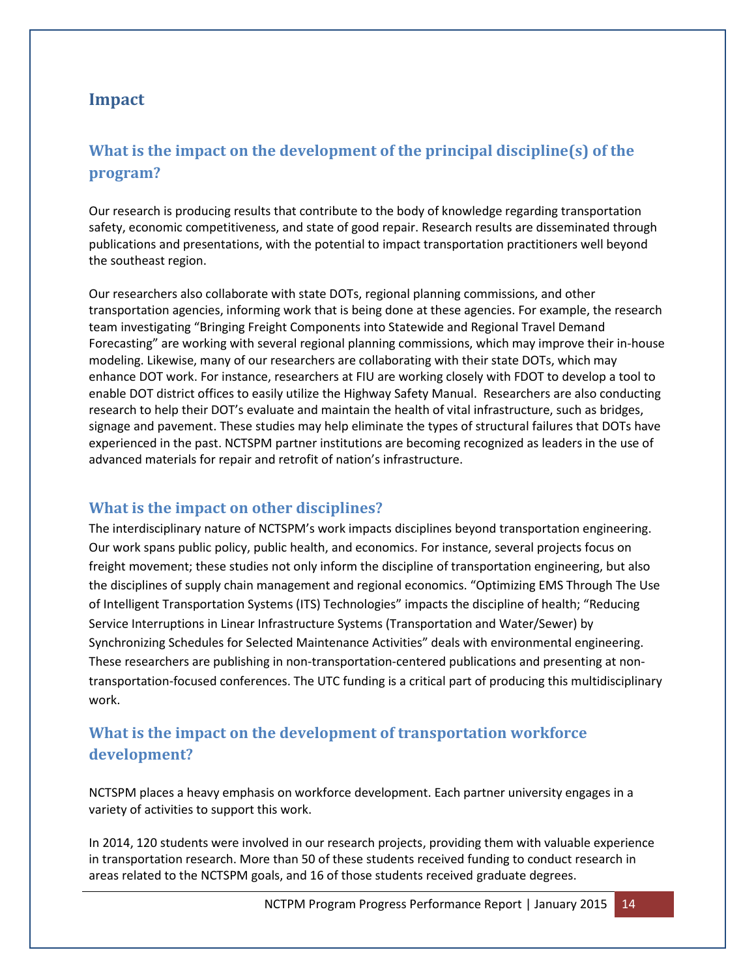## **Impact**

# **What is the impact on the development of the principal discipline(s) of the program?**

Our research is producing results that contribute to the body of knowledge regarding transportation safety, economic competitiveness, and state of good repair. Research results are disseminated through publications and presentations, with the potential to impact transportation practitioners well beyond the southeast region.

Our researchers also collaborate with state DOTs, regional planning commissions, and other transportation agencies, informing work that is being done at these agencies. For example, the research team investigating "Bringing Freight Components into Statewide and Regional Travel Demand Forecasting" are working with several regional planning commissions, which may improve their in-house modeling. Likewise, many of our researchers are collaborating with their state DOTs, which may enhance DOT work. For instance, researchers at FIU are working closely with FDOT to develop a tool to enable DOT district offices to easily utilize the Highway Safety Manual. Researchers are also conducting research to help their DOT's evaluate and maintain the health of vital infrastructure, such as bridges, signage and pavement. These studies may help eliminate the types of structural failures that DOTs have experienced in the past. NCTSPM partner institutions are becoming recognized as leaders in the use of advanced materials for repair and retrofit of nation's infrastructure.

### **What is the impact on other disciplines?**

The interdisciplinary nature of NCTSPM's work impacts disciplines beyond transportation engineering. Our work spans public policy, public health, and economics. For instance, several projects focus on freight movement; these studies not only inform the discipline of transportation engineering, but also the disciplines of supply chain management and regional economics. "Optimizing EMS Through The Use of Intelligent Transportation Systems (ITS) Technologies" impacts the discipline of health; "Reducing Service Interruptions in Linear Infrastructure Systems (Transportation and Water/Sewer) by Synchronizing Schedules for Selected Maintenance Activities" deals with environmental engineering. These researchers are publishing in non-transportation-centered publications and presenting at nontransportation-focused conferences. The UTC funding is a critical part of producing this multidisciplinary work.

# **What is the impact on the development of transportation workforce development?**

NCTSPM places a heavy emphasis on workforce development. Each partner university engages in a variety of activities to support this work.

In 2014, 120 students were involved in our research projects, providing them with valuable experience in transportation research. More than 50 of these students received funding to conduct research in areas related to the NCTSPM goals, and 16 of those students received graduate degrees.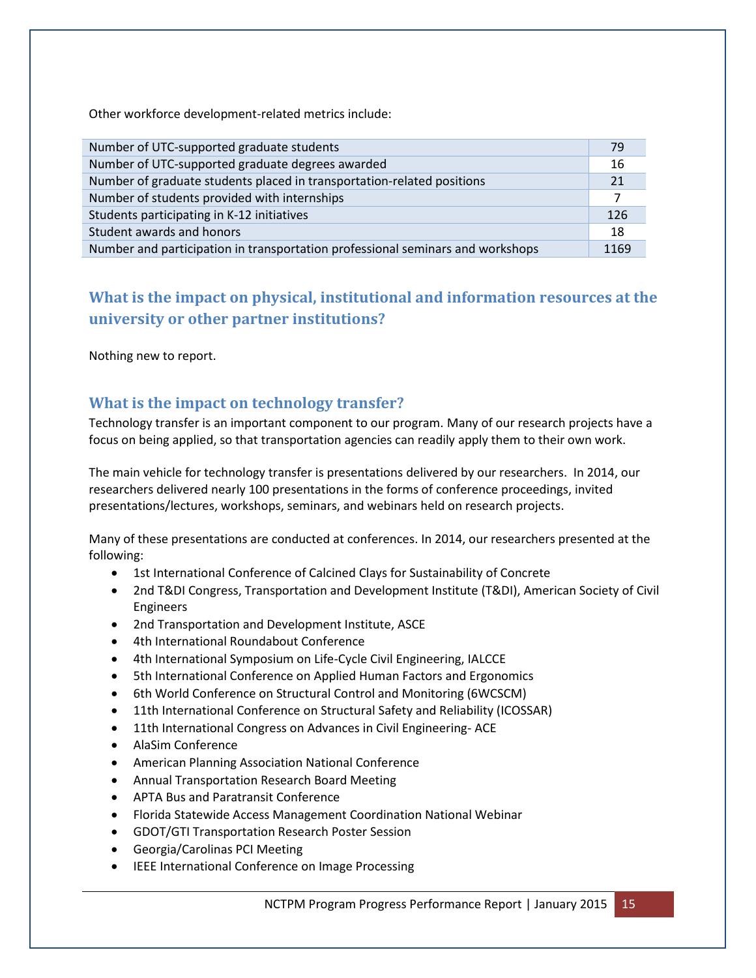Other workforce development-related metrics include:

| Number of UTC-supported graduate students                                      | 79   |
|--------------------------------------------------------------------------------|------|
| Number of UTC-supported graduate degrees awarded                               | 16   |
| Number of graduate students placed in transportation-related positions         | 21   |
| Number of students provided with internships                                   |      |
| Students participating in K-12 initiatives                                     | 126  |
| Student awards and honors                                                      | 18   |
| Number and participation in transportation professional seminars and workshops | 1169 |

# **What is the impact on physical, institutional and information resources at the university or other partner institutions?**

Nothing new to report.

## **What is the impact on technology transfer?**

Technology transfer is an important component to our program. Many of our research projects have a focus on being applied, so that transportation agencies can readily apply them to their own work.

The main vehicle for technology transfer is presentations delivered by our researchers. In 2014, our researchers delivered nearly 100 presentations in the forms of conference proceedings, invited presentations/lectures, workshops, seminars, and webinars held on research projects.

Many of these presentations are conducted at conferences. In 2014, our researchers presented at the following:

- 1st International Conference of Calcined Clays for Sustainability of Concrete
- 2nd T&DI Congress, Transportation and Development Institute (T&DI), American Society of Civil Engineers
- 2nd Transportation and Development Institute, ASCE
- 4th International Roundabout Conference
- 4th International Symposium on Life-Cycle Civil Engineering, IALCCE
- 5th International Conference on Applied Human Factors and Ergonomics
- 6th World Conference on Structural Control and Monitoring (6WCSCM)
- 11th International Conference on Structural Safety and Reliability (ICOSSAR)
- 11th International Congress on Advances in Civil Engineering-ACE
- AlaSim Conference
- American Planning Association National Conference
- Annual Transportation Research Board Meeting
- APTA Bus and Paratransit Conference
- Florida Statewide Access Management Coordination National Webinar
- GDOT/GTI Transportation Research Poster Session
- Georgia/Carolinas PCI Meeting
- IEEE International Conference on Image Processing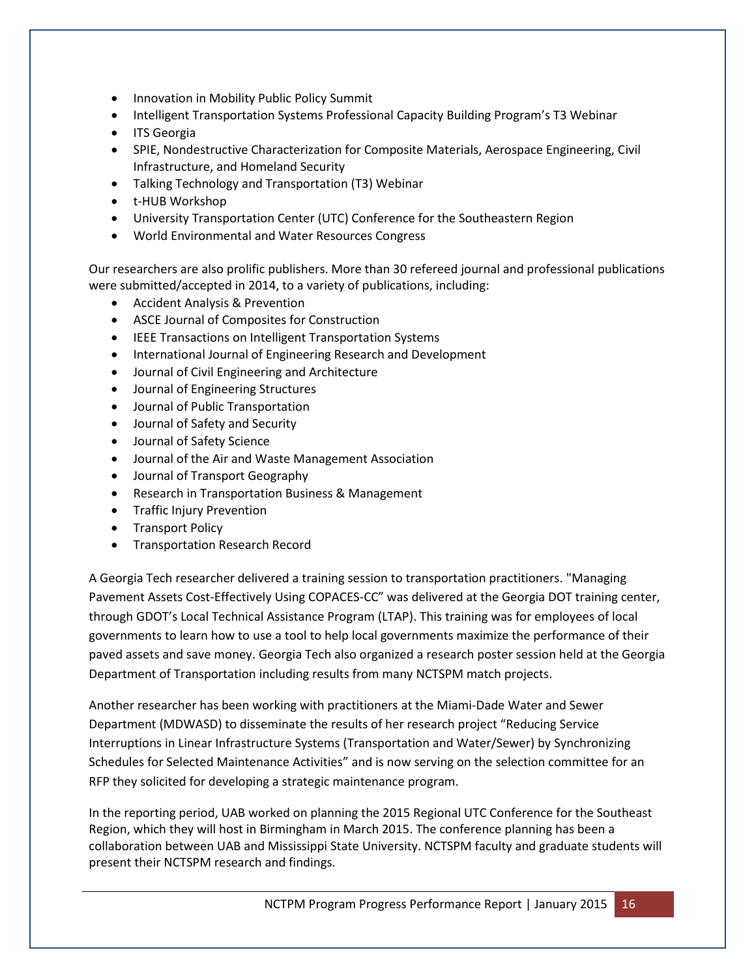- Innovation in Mobility Public Policy Summit
- Intelligent Transportation Systems Professional Capacity Building Program's T3 Webinar
- ITS Georgia
- SPIE, Nondestructive Characterization for Composite Materials, Aerospace Engineering, Civil Infrastructure, and Homeland Security
- Talking Technology and Transportation (T3) Webinar
- t-HUB Workshop
- University Transportation Center (UTC) Conference for the Southeastern Region
- World Environmental and Water Resources Congress

Our researchers are also prolific publishers. More than 30 refereed journal and professional publications were submitted/accepted in 2014, to a variety of publications, including:

- Accident Analysis & Prevention
- ASCE Journal of Composites for Construction
- **IEEE Transactions on Intelligent Transportation Systems**
- International Journal of Engineering Research and Development
- Journal of Civil Engineering and Architecture
- Journal of Engineering Structures
- Journal of Public Transportation
- Journal of Safety and Security
- Journal of Safety Science
- Journal of the Air and Waste Management Association
- Journal of Transport Geography
- Research in Transportation Business & Management
- **•** Traffic Injury Prevention
- Transport Policy
- **•** Transportation Research Record

A Georgia Tech researcher delivered a training session to transportation practitioners. "Managing Pavement Assets Cost-Effectively Using COPACES-CC" was delivered at the Georgia DOT training center, through GDOT's Local Technical Assistance Program (LTAP). This training was for employees of local governments to learn how to use a tool to help local governments maximize the performance of their paved assets and save money. Georgia Tech also organized a research poster session held at the Georgia Department of Transportation including results from many NCTSPM match projects.

Another researcher has been working with practitioners at the Miami-Dade Water and Sewer Department (MDWASD) to disseminate the results of her research project "Reducing Service Interruptions in Linear Infrastructure Systems (Transportation and Water/Sewer) by Synchronizing Schedules for Selected Maintenance Activities" and is now serving on the selection committee for an RFP they solicited for developing a strategic maintenance program.

In the reporting period, UAB worked on planning the 2015 Regional UTC Conference for the Southeast Region, which they will host in Birmingham in March 2015. The conference planning has been a collaboration between UAB and Mississippi State University. NCTSPM faculty and graduate students will present their NCTSPM research and findings.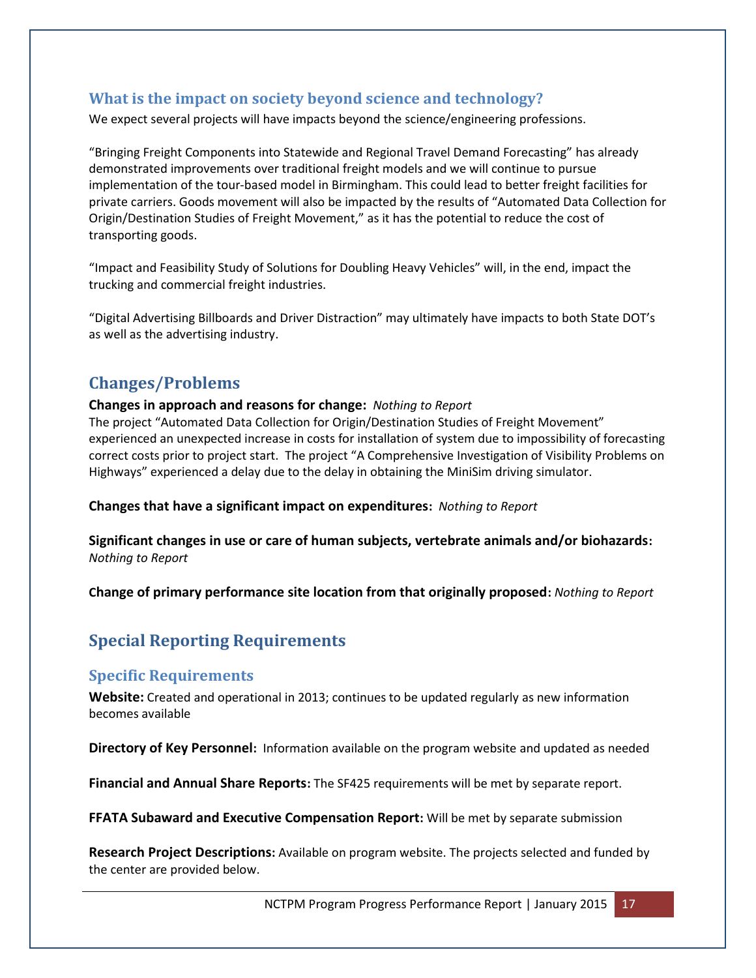## **What is the impact on society beyond science and technology?**

We expect several projects will have impacts beyond the science/engineering professions.

"Bringing Freight Components into Statewide and Regional Travel Demand Forecasting" has already demonstrated improvements over traditional freight models and we will continue to pursue implementation of the tour-based model in Birmingham. This could lead to better freight facilities for private carriers. Goods movement will also be impacted by the results of "Automated Data Collection for Origin/Destination Studies of Freight Movement," as it has the potential to reduce the cost of transporting goods.

"Impact and Feasibility Study of Solutions for Doubling Heavy Vehicles" will, in the end, impact the trucking and commercial freight industries.

"Digital Advertising Billboards and Driver Distraction" may ultimately have impacts to both State DOT's as well as the advertising industry.

# **Changes/Problems**

#### **Changes in approach and reasons for change:** *Nothing to Report*

The project "Automated Data Collection for Origin/Destination Studies of Freight Movement" experienced an unexpected increase in costs for installation of system due to impossibility of forecasting correct costs prior to project start. The project "A Comprehensive Investigation of Visibility Problems on Highways" experienced a delay due to the delay in obtaining the MiniSim driving simulator.

**Changes that have a significant impact on expenditures:** *Nothing to Report*

**Significant changes in use or care of human subjects, vertebrate animals and/or biohazards:**  *Nothing to Report*

**Change of primary performance site location from that originally proposed:** *Nothing to Report*

# **Special Reporting Requirements**

### **Specific Requirements**

**Website:** Created and operational in 2013; continues to be updated regularly as new information becomes available

**Directory of Key Personnel:** Information available on the program website and updated as needed

**Financial and Annual Share Reports:** The SF425 requirements will be met by separate report.

**FFATA Subaward and Executive Compensation Report:** Will be met by separate submission

**Research Project Descriptions:** Available on program website. The projects selected and funded by the center are provided below.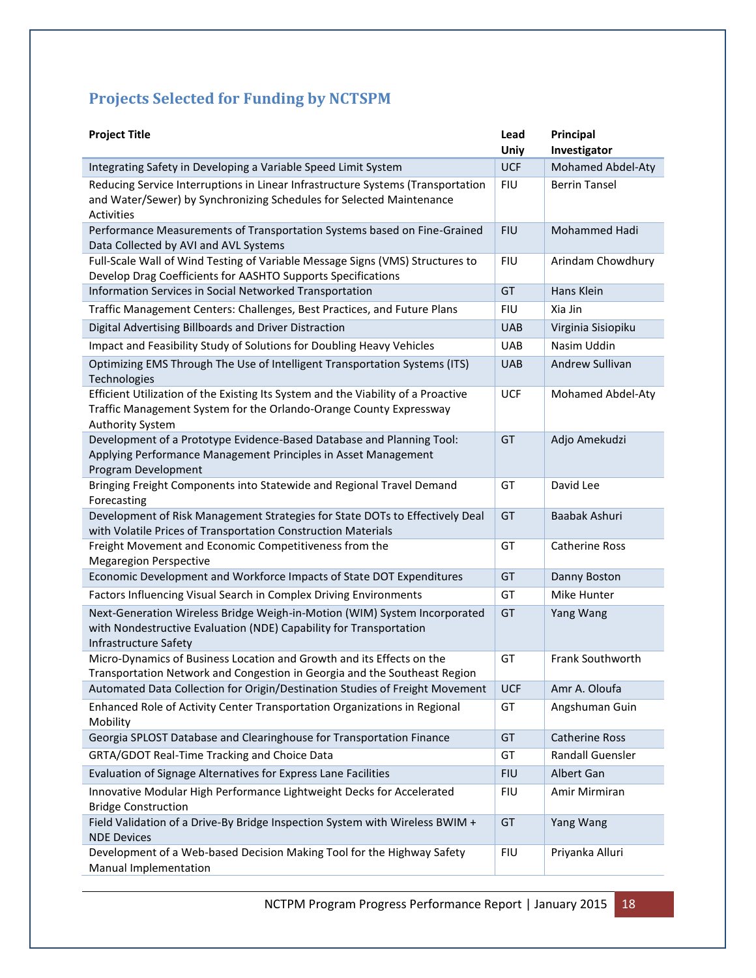# **Projects Selected for Funding by NCTSPM**

| <b>Project Title</b>                                                                                                                                                               | Lead<br>Uniy | Principal<br>Investigator |
|------------------------------------------------------------------------------------------------------------------------------------------------------------------------------------|--------------|---------------------------|
| Integrating Safety in Developing a Variable Speed Limit System                                                                                                                     | <b>UCF</b>   | Mohamed Abdel-Aty         |
| Reducing Service Interruptions in Linear Infrastructure Systems (Transportation<br>and Water/Sewer) by Synchronizing Schedules for Selected Maintenance<br>Activities              | <b>FIU</b>   | <b>Berrin Tansel</b>      |
| Performance Measurements of Transportation Systems based on Fine-Grained<br>Data Collected by AVI and AVL Systems                                                                  | <b>FIU</b>   | Mohammed Hadi             |
| Full-Scale Wall of Wind Testing of Variable Message Signs (VMS) Structures to<br>Develop Drag Coefficients for AASHTO Supports Specifications                                      | <b>FIU</b>   | Arindam Chowdhury         |
| Information Services in Social Networked Transportation                                                                                                                            | GT           | Hans Klein                |
| Traffic Management Centers: Challenges, Best Practices, and Future Plans                                                                                                           | <b>FIU</b>   | Xia Jin                   |
| Digital Advertising Billboards and Driver Distraction                                                                                                                              | <b>UAB</b>   | Virginia Sisiopiku        |
| Impact and Feasibility Study of Solutions for Doubling Heavy Vehicles                                                                                                              | <b>UAB</b>   | Nasim Uddin               |
| Optimizing EMS Through The Use of Intelligent Transportation Systems (ITS)<br>Technologies                                                                                         | <b>UAB</b>   | Andrew Sullivan           |
| Efficient Utilization of the Existing Its System and the Viability of a Proactive<br>Traffic Management System for the Orlando-Orange County Expressway<br><b>Authority System</b> | <b>UCF</b>   | Mohamed Abdel-Aty         |
| Development of a Prototype Evidence-Based Database and Planning Tool:<br>Applying Performance Management Principles in Asset Management<br>Program Development                     | GT           | Adjo Amekudzi             |
| Bringing Freight Components into Statewide and Regional Travel Demand<br>Forecasting                                                                                               | GT           | David Lee                 |
| Development of Risk Management Strategies for State DOTs to Effectively Deal<br>with Volatile Prices of Transportation Construction Materials                                      | GT           | Baabak Ashuri             |
| Freight Movement and Economic Competitiveness from the<br><b>Megaregion Perspective</b>                                                                                            | GT           | <b>Catherine Ross</b>     |
| Economic Development and Workforce Impacts of State DOT Expenditures                                                                                                               | GT           | Danny Boston              |
| Factors Influencing Visual Search in Complex Driving Environments                                                                                                                  | GT           | Mike Hunter               |
| Next-Generation Wireless Bridge Weigh-in-Motion (WIM) System Incorporated<br>with Nondestructive Evaluation (NDE) Capability for Transportation<br>Infrastructure Safety           | GT           | Yang Wang                 |
| Micro-Dynamics of Business Location and Growth and its Effects on the<br>Transportation Network and Congestion in Georgia and the Southeast Region                                 | GT           | Frank Southworth          |
| Automated Data Collection for Origin/Destination Studies of Freight Movement                                                                                                       | <b>UCF</b>   | Amr A. Oloufa             |
| Enhanced Role of Activity Center Transportation Organizations in Regional<br>Mobility                                                                                              | GT           | Angshuman Guin            |
| Georgia SPLOST Database and Clearinghouse for Transportation Finance                                                                                                               | GT           | <b>Catherine Ross</b>     |
| GRTA/GDOT Real-Time Tracking and Choice Data                                                                                                                                       | GT           | <b>Randall Guensler</b>   |
| Evaluation of Signage Alternatives for Express Lane Facilities                                                                                                                     | <b>FIU</b>   | Albert Gan                |
| Innovative Modular High Performance Lightweight Decks for Accelerated<br><b>Bridge Construction</b>                                                                                | <b>FIU</b>   | Amir Mirmiran             |
| Field Validation of a Drive-By Bridge Inspection System with Wireless BWIM +<br><b>NDE Devices</b>                                                                                 | GT           | Yang Wang                 |
| Development of a Web-based Decision Making Tool for the Highway Safety<br>Manual Implementation                                                                                    | <b>FIU</b>   | Priyanka Alluri           |